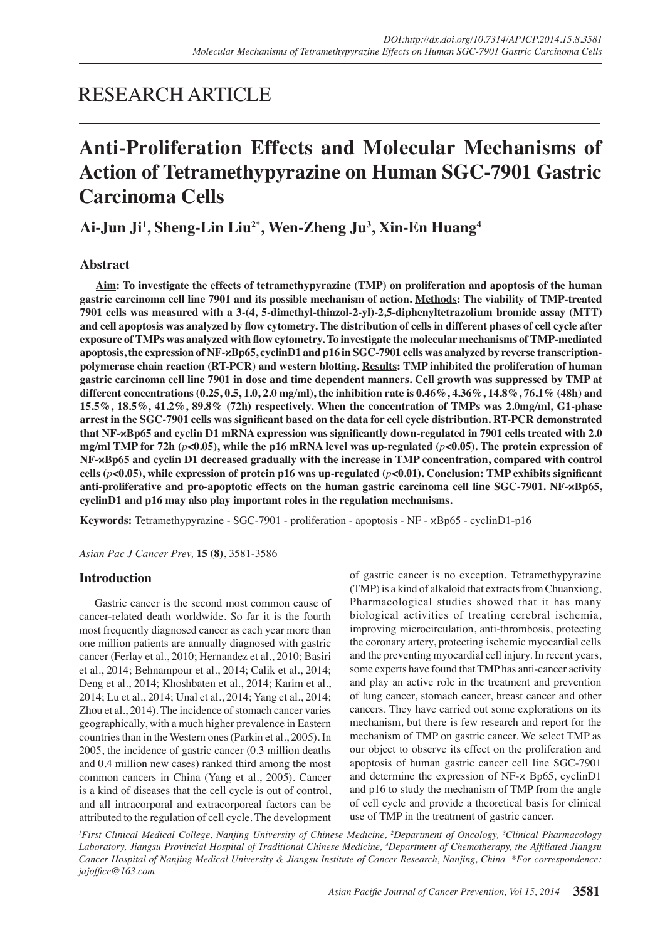## RESEARCH ARTICLE

# **Anti-Proliferation Effects and Molecular Mechanisms of Action of Tetramethypyrazine on Human SGC-7901 Gastric Carcinoma Cells**

**Ai-Jun Ji1 , Sheng-Lin Liu2\*, Wen-Zheng Ju<sup>3</sup> , Xin-En Huang4**

## **Abstract**

**Aim: To investigate the effects of tetramethypyrazine (TMP) on proliferation and apoptosis of the human gastric carcinoma cell line 7901 and its possible mechanism of action. Methods: The viability of TMP-treated 7901 cells was measured with a 3-(4, 5-dimethyl-thiazol-2-yl)-2,5-diphenyltetrazolium bromide assay (MTT) and cell apoptosis was analyzed by flow cytometry. The distribution of cells in different phases of cell cycle after exposure of TMPs was analyzed with flow cytometry. To investigate the molecular mechanisms of TMP-mediated apoptosis, the expression of NF-κBp65, cyclinD1 and p16 in SGC-7901 cells was analyzed by reverse transcriptionpolymerase chain reaction (RT-PCR) and western blotting. Results: TMP inhibited the proliferation of human gastric carcinoma cell line 7901 in dose and time dependent manners. Cell growth was suppressed by TMP at different concentrations (0.25, 0.5, 1.0, 2.0 mg/ml), the inhibition rate is 0.46%, 4.36%, 14.8%, 76.1% (48h) and 15.5%, 18.5%, 41.2%, 89.8% (72h) respectively. When the concentration of TMPs was 2.0mg/ml, G1-phase arrest in the SGC-7901 cells was significant based on the data for cell cycle distribution. RT-PCR demonstrated that NF-κBp65 and cyclin D1 mRNA expression was significantly down-regulated in 7901 cells treated with 2.0 mg/ml TMP for 72h (***p***<0.05), while the p16 mRNA level was up-regulated (***p***<0.05). The protein expression of NF-κBp65 and cyclin D1 decreased gradually with the increase in TMP concentration, compared with control**  cells ( $p$ **<0.05), while expression of protein p16 was up-regulated (** $p$ **<b><0.01). Conclusion: TMP exhibits significant anti-proliferative and pro-apoptotic effects on the human gastric carcinoma cell line SGC-7901. NF-κBp65, cyclinD1 and p16 may also play important roles in the regulation mechanisms.** 

**Keywords:** Tetramethypyrazine - SGC-7901 - proliferation - apoptosis - NF - κBp65 - cyclinD1-p16

*Asian Pac J Cancer Prev,* **15 (8)**, 3581-3586

## **Introduction**

Gastric cancer is the second most common cause of cancer-related death worldwide. So far it is the fourth most frequently diagnosed cancer as each year more than one million patients are annually diagnosed with gastric cancer (Ferlay et al*.*, 2010; Hernandez et al., 2010; Basiri et al., 2014; Behnampour et al., 2014; Calik et al., 2014; Deng et al., 2014; Khoshbaten et al., 2014; Karim et al., 2014; Lu et al., 2014; Unal et al., 2014; Yang et al., 2014; Zhou et al., 2014). The incidence of stomach cancer varies geographically, with a much higher prevalence in Eastern countries than in the Western ones (Parkin et al., 2005). In 2005, the incidence of gastric cancer (0.3 million deaths and 0.4 million new cases) ranked third among the most common cancers in China (Yang et al., 2005). Cancer is a kind of diseases that the cell cycle is out of control, and all intracorporal and extracorporeal factors can be attributed to the regulation of cell cycle. The development of gastric cancer is no exception. Tetramethypyrazine (TMP) is a kind of alkaloid that extracts from Chuanxiong, Pharmacological studies showed that it has many biological activities of treating cerebral ischemia, improving microcirculation, anti-thrombosis, protecting the coronary artery, protecting ischemic myocardial cells and the preventing myocardial cell injury. In recent years, some experts have found that TMP has anti-cancer activity and play an active role in the treatment and prevention of lung cancer, stomach cancer, breast cancer and other cancers. They have carried out some explorations on its mechanism, but there is few research and report for the mechanism of TMP on gastric cancer. We select TMP as our object to observe its effect on the proliferation and apoptosis of human gastric cancer cell line SGC-7901 and determine the expression of NF-κ Bp65, cyclinD1 and p16 to study the mechanism of TMP from the angle of cell cycle and provide a theoretical basis for clinical use of TMP in the treatment of gastric cancer.

<sup>*I*</sup> First Clinical Medical College, Nanjing University of Chinese Medicine, <sup>2</sup>Department of Oncology, <sup>3</sup>Clinical Pharmacology *Laboratory, Jiangsu Provincial Hospital of Traditional Chinese Medicine, 4 Department of Chemotherapy, the Affiliated Jiangsu Cancer Hospital of Nanjing Medical University & Jiangsu Institute of Cancer Research, Nanjing, China \*For correspondence: jajoffice@163.com*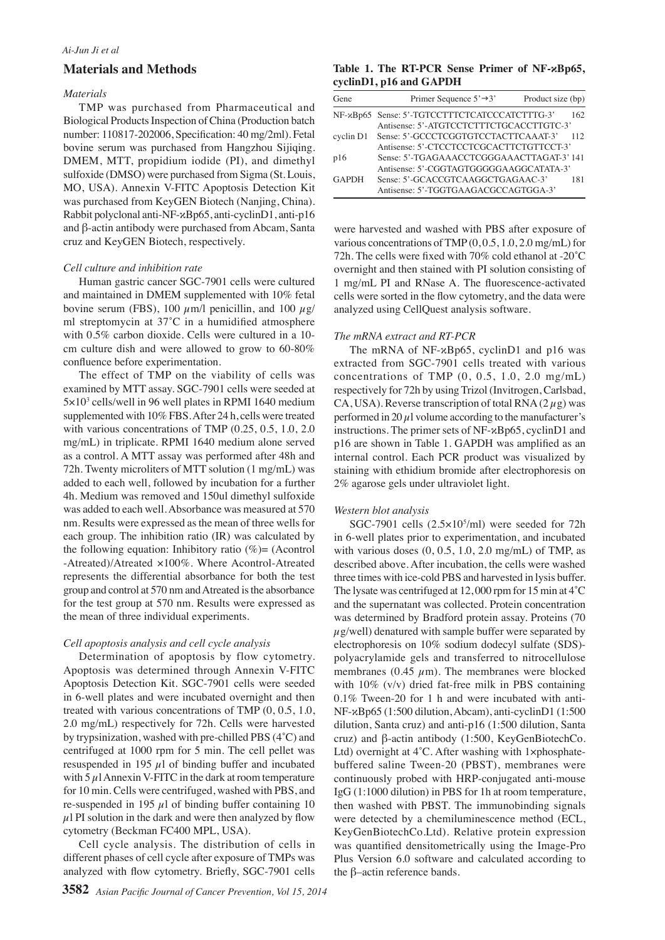#### *Ai-Jun Ji et al*

### **Materials and Methods**

#### *Materials*

TMP was purchased from Pharmaceutical and Biological Products Inspection of China (Production batch number: 110817-202006, Specification: 40 mg/2ml). Fetal bovine serum was purchased from Hangzhou Sijiqing. DMEM, MTT, propidium iodide (PI), and dimethyl sulfoxide (DMSO) were purchased from Sigma (St. Louis, MO, USA). Annexin V-FITC Apoptosis Detection Kit was purchased from KeyGEN Biotech (Nanjing, China). Rabbit polyclonal anti-NF-κBp65, anti-cyclinD1, anti-p16 and β-actin antibody were purchased from Abcam, Santa cruz and KeyGEN Biotech, respectively.

#### *Cell culture and inhibition rate*

Human gastric cancer SGC-7901 cells were cultured and maintained in DMEM supplemented with 10% fetal bovine serum (FBS), 100  $\mu$ m/l penicillin, and 100  $\mu$ g/ ml streptomycin at 37˚C in a humidified atmosphere with 0.5% carbon dioxide. Cells were cultured in a 10 cm culture dish and were allowed to grow to 60-80% confluence before experimentation.

The effect of TMP on the viability of cells was examined by MTT assay. SGC-7901 cells were seeded at 5×103 cells/well in 96 well plates in RPMI 1640 medium supplemented with 10% FBS. After 24 h, cells were treated with various concentrations of TMP (0.25, 0.5, 1.0, 2.0) mg/mL) in triplicate. RPMI 1640 medium alone served as a control. A MTT assay was performed after 48h and 72h. Twenty microliters of MTT solution (1 mg/mL) was added to each well, followed by incubation for a further 4h. Medium was removed and 150ul dimethyl sulfoxide was added to each well. Absorbance was measured at 570 nm. Results were expressed as the mean of three wells for each group. The inhibition ratio (IR) was calculated by the following equation: Inhibitory ratio  $(\%)$  (Acontrol -Atreated)/Atreated ×100%. Where Acontrol-Atreated represents the differential absorbance for both the test group and control at 570 nm and Atreated is the absorbance for the test group at 570 nm. Results were expressed as the mean of three individual experiments.

#### *Cell apoptosis analysis and cell cycle analysis*

Determination of apoptosis by flow cytometry. Apoptosis was determined through Annexin V-FITC Apoptosis Detection Kit. SGC-7901 cells were seeded in 6-well plates and were incubated overnight and then treated with various concentrations of TMP (0, 0.5, 1.0, 2.0 mg/mL) respectively for 72h. Cells were harvested by trypsinization, washed with pre-chilled PBS (4˚C) and centrifuged at 1000 rpm for 5 min. The cell pellet was resuspended in 195  $\mu$ l of binding buffer and incubated with  $5 \mu$ l Annexin V-FITC in the dark at room temperature for 10 min. Cells were centrifuged, washed with PBS, and re-suspended in 195  $\mu$ l of binding buffer containing 10  $\mu$ l PI solution in the dark and were then analyzed by flow cytometry (Beckman FC400 MPL, USA).

Cell cycle analysis. The distribution of cells in different phases of cell cycle after exposure of TMPs was analyzed with flow cytometry. Briefly, SGC-7901 cells

#### **Table 1. The RT-PCR Sense Primer of NF-κBp65, cyclinD1, p16 and GAPDH**

| Gene         | Primer Sequence $5' \rightarrow 3'$                                                       | Product size (bp) |     |
|--------------|-------------------------------------------------------------------------------------------|-------------------|-----|
|              | NF-xBp65 Sense: 5'-TGTCCTTTCTCATCCCATCTTTG-3'<br>Antisense: 5'-ATGTCCTCTTTCTGCACCTTGTC-3' |                   | 162 |
| cyclin D1    | Sense: 5'-GCCCTCGGTGTCCTACTTCAAAT-3'<br>Antisense: 5'-CTCCTCCTCGCACTTCTGTTCCT-3'          |                   | 112 |
| p16          | Sense: 5'-TGAGAAACCTCGGGAAACTTAGAT-3' 141<br>Antisense: 5'-CGGTAGTGGGGGAAGGCATATA-3'      |                   |     |
| <b>GAPDH</b> | Sense: 5'-GCACCGTCAAGGCTGAGAAC-3'<br>Antisense: 5'-TGGTGAAGACGCCAGTGGA-3'                 |                   | 181 |

were harvested and washed with PBS after exposure of various concentrations of TMP (0, 0.5, 1.0, 2.0 mg/mL) for 72h. The cells were fixed with 70% cold ethanol at -20˚C overnight and then stained with PI solution consisting of 1 mg/mL PI and RNase A. The fluorescence-activated cells were sorted in the flow cytometry, and the data were analyzed using CellQuest analysis software.

#### *The mRNA extract and RT-PCR*

The mRNA of NF-κBp65, cyclinD1 and p16 was extracted from SGC-7901 cells treated with various concentrations of TMP  $(0, 0.5, 1.0, 2.0 \text{ mg/mL})$ respectively for 72h by using Trizol (Invitrogen, Carlsbad, CA, USA). Reverse transcription of total RNA  $(2 \mu g)$  was performed in 20  $\mu$  volume according to the manufacturer's instructions. The primer sets of NF-κBp65, cyclinD1 and p16 are shown in Table 1. GAPDH was amplified as an internal control. Each PCR product was visualized by staining with ethidium bromide after electrophoresis on 2% agarose gels under ultraviolet light.

#### *Western blot analysis*

SGC-7901 cells  $(2.5 \times 10^5/\text{ml})$  were seeded for 72h in 6-well plates prior to experimentation, and incubated with various doses  $(0, 0.5, 1.0, 2.0 \text{ mg/mL})$  of TMP, as described above. After incubation, the cells were washed three times with ice-cold PBS and harvested in lysis buffer. The lysate was centrifuged at 12, 000 rpm for 15 min at 4˚C and the supernatant was collected. Protein concentration was determined by Bradford protein assay. Proteins (70  $\mu$ g/well) denatured with sample buffer were separated by electrophoresis on 10% sodium dodecyl sulfate (SDS) polyacrylamide gels and transferred to nitrocellulose membranes (0.45  $\mu$ m). The membranes were blocked with 10% (v/v) dried fat-free milk in PBS containing 0.1% Tween-20 for 1 h and were incubated with anti-NF-κBp65 (1:500 dilution, Abcam), anti-cyclinD1 (1:500 dilution, Santa cruz) and anti-p16 (1:500 dilution, Santa cruz) and β-actin antibody (1:500, KeyGenBiotechCo. Ltd) overnight at 4°C. After washing with 1×phosphatebuffered saline Tween-20 (PBST), membranes were continuously probed with HRP-conjugated anti-mouse IgG (1:1000 dilution) in PBS for 1h at room temperature, then washed with PBST. The immunobinding signals were detected by a chemiluminescence method (ECL, KeyGenBiotechCo.Ltd). Relative protein expression was quantified densitometrically using the Image-Pro Plus Version 6.0 software and calculated according to the β–actin reference bands.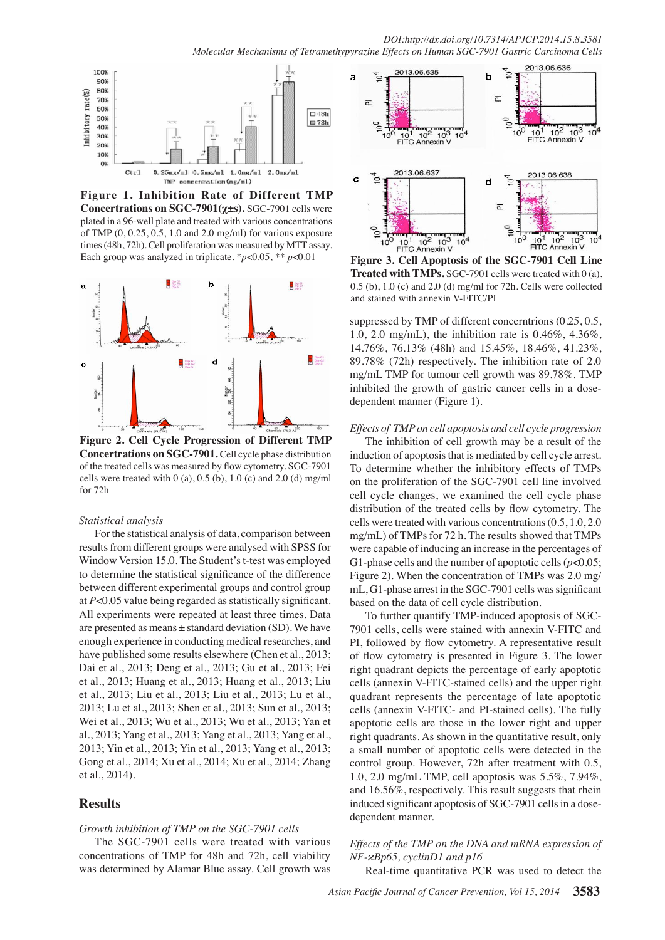100% 90% 80% rate(%) 709 60%  $\square$  48h Inhibitory 50%  $B$  72h 40% 30% 20% 10%  $0%$  $Ctr]$  $0.25$ mg/ml  $0.5$ mg/ml  $1.0$ mg/ml  $2.0<sub>mg/m1</sub>$  $TMP$  concenration  $(mg/ml)$ 

**Figure 1. Inhibition Rate of Different TMP Concertrations on SGC-7901(χ±s).** SGC-7901 cells were plated in a 96-well plate and treated with various concentrations of TMP (0, 0.25, 0.5, 1.0 and 2.0 mg/ml) for various exposure times (48h, 72h). Cell proliferation was measured by MTT assay. Each group was analyzed in triplicate. \**p*<0.05, \*\* *p*<0.01 **Figure 3. Cell Apoptosis of the SGC-7901 Cell Line** 



**Figure 2. Cell Cycle Progression of Different TMP Concertrations on SGC-7901.** Cell cycle phase distribution of the treated cells was measured by flow cytometry. SGC-7901 cells were treated with 0 (a), 0.5 (b), 1.0 (c) and 2.0 (d) mg/ml for 72h

#### *Statistical analysis*

For the statistical analysis of data, comparison between results from different groups were analysed with SPSS for Window Version 15.0. The Student's t-test was employed to determine the statistical significance of the difference between different experimental groups and control group at *P*<0.05 value being regarded as statistically significant. All experiments were repeated at least three times. Data are presented as means ± standard deviation (SD). We have enough experience in conducting medical researches, and have published some results elsewhere (Chen et al., 2013; Dai et al., 2013; Deng et al., 2013; Gu et al., 2013; Fei et al., 2013; Huang et al., 2013; Huang et al., 2013; Liu et al., 2013; Liu et al., 2013; Liu et al., 2013; Lu et al., 2013; Lu et al., 2013; Shen et al., 2013; Sun et al., 2013; Wei et al., 2013; Wu et al., 2013; Wu et al., 2013; Yan et al., 2013; Yang et al., 2013; Yang et al., 2013; Yang et al., 2013; Yin et al., 2013; Yin et al., 2013; Yang et al., 2013; Gong et al., 2014; Xu et al., 2014; Xu et al., 2014; Zhang et al., 2014).

## **Results**

## *Growth inhibition of TMP on the SGC-7901 cells*

The SGC-7901 cells were treated with various concentrations of TMP for 48h and 72h, cell viability was determined by Alamar Blue assay. Cell growth was



0.5 (b), 1.0 (c) and 2.0 (d) mg/ml for 72h. Cells were collected  $\frac{50.0}{50.0}$ **Treated with TMPs.** SGC-7901 cells were treated with 0 (a), and stained with annexin V-FITC/PI

0 1.0, 2.0 mg/mL), the inhibition rate is  $0.46\%$ ,  $4.36\%$ ,  $25.0$ <br> $14.76\%$ ,  $76.12\%$ ,  $(49)$ ,  $1.15.45\%$ ,  $19.46\%$ ,  $41.22\%$ ,  $25.0$ suppressed by TMP of different concerntrions (0.25, 0.5, 14.76%, 76.13% (48h) and 15.45%, 18.46%, 41.23%, 89.78% (72h) respectively. The inhibition rate of 2.0 mg/mL TMP for tumour cell growth was 89.78%. TMP inhibited the growth of gastric cancer cells in a dosedependent manner (Figure 1).

#### *Effects of TMP on cell apoptosis and cell cycle progression*

The inhibition of cell growth may be a result of the induction of apoptosis that is mediated by cell cycle arrest. To determine whether the inhibitory effects of TMPs on the proliferation of the SGC-7901 cell line involved cell cycle changes, we examined the cell cycle phase distribution of the treated cells by flow cytometry. The cells were treated with various concentrations (0.5, 1.0, 2.0 mg/mL) of TMPs for 72 h. The results showed that TMPs were capable of inducing an increase in the percentages of G1-phase cells and the number of apoptotic cells (*p*<0.05; Figure 2). When the concentration of TMPs was 2.0 mg/ mL, G1-phase arrest in the SGC-7901 cells was significant based on the data of cell cycle distribution.

To further quantify TMP-induced apoptosis of SGC-7901 cells, cells were stained with annexin V-FITC and PI, followed by flow cytometry. A representative result of flow cytometry is presented in Figure 3. The lower right quadrant depicts the percentage of early apoptotic cells (annexin V-FITC-stained cells) and the upper right quadrant represents the percentage of late apoptotic cells (annexin V-FITC- and PI-stained cells). The fully apoptotic cells are those in the lower right and upper right quadrants. As shown in the quantitative result, only a small number of apoptotic cells were detected in the control group. However, 72h after treatment with 0.5, 1.0, 2.0 mg/mL TMP, cell apoptosis was 5.5%, 7.94%, and 16.56%, respectively. This result suggests that rhein induced significant apoptosis of SGC-7901 cells in a dosedependent manner.

## *Effects of the TMP on the DNA and mRNA expression of NF-κBp65, cyclinD1 and p16*

Real-time quantitative PCR was used to detect the

**46.8 56.3**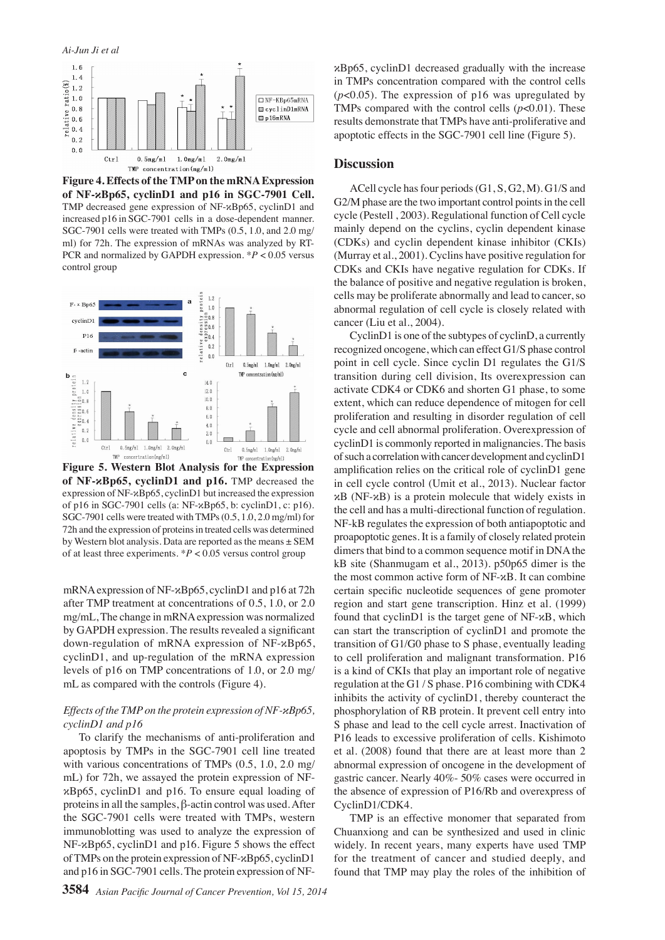*Ai-Jun Ji et al*



**Figure 4. Effects of the TMP on the mRNA Expression of NF-κBp65, cyclinD1 and p16 in SGC-7901 Cell.**  TMP decreased gene expression of NF-κBp65, cyclinD1 and increased p16 in SGC-7901 cells in a dose-dependent manner. SGC-7901 cells were treated with TMPs (0.5, 1.0, and 2.0 mg/ ml) for 72h. The expression of mRNAs was analyzed by RT-PCR and normalized by GAPDH expression. \**P* < 0.05 versus control group



**Figure 5. Western Blot Analysis for the Expression of NF-κBp65, cyclinD1 and p16.** TMP decreased the expression of NF-κBp65, cyclinD1 but increased the expression of p16 in SGC-7901 cells (a: NF-κBp65, b: cyclinD1, c: p16). SGC-7901 cells were treated with TMPs (0.5, 1.0, 2.0 mg/ml) for 72h and the expression of proteins in treated cells was determined by Western blot analysis. Data are reported as the means ± SEM of at least three experiments. \**P* < 0.05 versus control group

mRNA expression of NF-κBp65, cyclinD1 and p16 at 72h after TMP treatment at concentrations of 0.5, 1.0, or 2.0 mg/mL, The change in mRNA expression was normalized by GAPDH expression. The results revealed a significant down-regulation of mRNA expression of NF-κBp65, cyclinD1, and up-regulation of the mRNA expression levels of p16 on TMP concentrations of 1.0, or 2.0 mg/ mL as compared with the controls (Figure 4).

#### *Effects of the TMP on the protein expression of NF-κBp65, cyclinD1 and p16*

To clarify the mechanisms of anti-proliferation and apoptosis by TMPs in the SGC-7901 cell line treated with various concentrations of TMPs  $(0.5, 1.0, 2.0 \text{ mg})$ mL) for 72h, we assayed the protein expression of NFκBp65, cyclinD1 and p16. To ensure equal loading of proteins in all the samples, β-actin control was used. After the SGC-7901 cells were treated with TMPs, western immunoblotting was used to analyze the expression of NF-κBp65, cyclinD1 and p16. Figure 5 shows the effect of TMPs on the protein expression of NF-κBp65, cyclinD1 and p16 in SGC-7901 cells. The protein expression of NF-

κBp65, cyclinD1 decreased gradually with the increase in TMPs concentration compared with the control cells (*p*<0.05). The expression of p16 was upregulated by TMPs compared with the control cells (*p*<0.01). These results demonstrate that TMPs have anti-proliferative and apoptotic effects in the SGC-7901 cell line (Figure 5).

## **Discussion**

ACell cycle has four periods (G1, S, G2, M). G1/S and G2/M phase are the two important control points in the cell cycle (Pestell , 2003). Regulational function of Cell cycle mainly depend on the cyclins, cyclin dependent kinase (CDKs) and cyclin dependent kinase inhibitor (CKIs) (Murray et al., 2001). Cyclins have positive regulation for CDKs and CKIs have negative regulation for CDKs. If the balance of positive and negative regulation is broken, cells may be proliferate abnormally and lead to cancer, so abnormal regulation of cell cycle is closely related with cancer (Liu et al., 2004).

CyclinD1 is one of the subtypes of cyclinD, a currently recognized oncogene, which can effect G1/S phase control point in cell cycle. Since cyclin D1 regulates the G1/S transition during cell division, Its overexpression can activate CDK4 or CDK6 and shorten G1 phase, to some extent, which can reduce dependence of mitogen for cell proliferation and resulting in disorder regulation of cell cycle and cell abnormal proliferation. Overexpression of cyclinD1 is commonly reported in malignancies. The basis of such a correlation with cancer development and cyclinD1 amplification relies on the critical role of cyclinD1 gene in cell cycle control (Umit et al., 2013). Nuclear factor  $\alpha$ B (NF- $\alpha$ B) is a protein molecule that widely exists in the cell and has a multi-directional function of regulation. NF-kB regulates the expression of both antiapoptotic and proapoptotic genes. It is a family of closely related protein dimers that bind to a common sequence motif in DNA the kB site (Shanmugam et al., 2013). p50p65 dimer is the the most common active form of NF-κB. It can combine certain specific nucleotide sequences of gene promoter region and start gene transcription. Hinz et al. (1999) found that cyclinD1 is the target gene of NF-κB, which can start the transcription of cyclinD1 and promote the transition of G1/G0 phase to S phase, eventually leading to cell proliferation and malignant transformation. P16 is a kind of CKIs that play an important role of negative regulation at the G1 / S phase. P16 combining with CDK4 inhibits the activity of cyclinD1, thereby counteract the phosphorylation of RB protein. It prevent cell entry into S phase and lead to the cell cycle arrest. Inactivation of P16 leads to excessive proliferation of cells. Kishimoto et al. (2008) found that there are at least more than 2 abnormal expression of oncogene in the development of gastric cancer. Nearly 40%- 50% cases were occurred in the absence of expression of P16/Rb and overexpress of CyclinD1/CDK4.

TMP is an effective monomer that separated from Chuanxiong and can be synthesized and used in clinic widely. In recent years, many experts have used TMP for the treatment of cancer and studied deeply, and found that TMP may play the roles of the inhibition of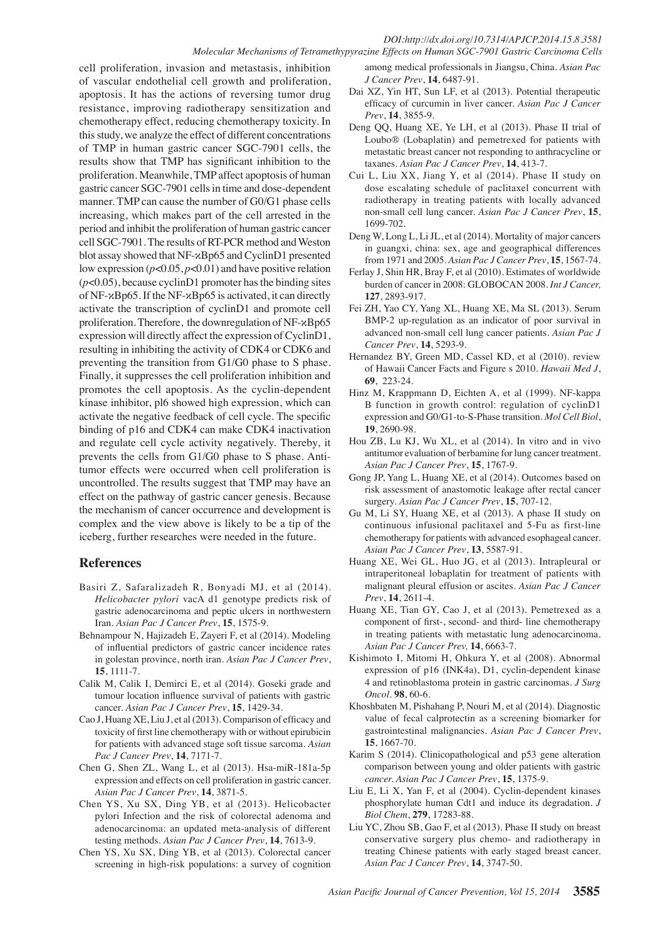#### *DOI:http://dx.doi.org/10.7314/APJCP.2014.15.8.3581 Molecular Mechanisms of Tetramethypyrazine Effects on Human SGC-7901 Gastric Carcinoma Cells*

cell proliferation, invasion and metastasis, inhibition of vascular endothelial cell growth and proliferation, apoptosis. It has the actions of reversing tumor drug resistance, improving radiotherapy sensitization and chemotherapy effect, reducing chemotherapy toxicity. In this study, we analyze the effect of different concentrations of TMP in human gastric cancer SGC-7901 cells, the results show that TMP has significant inhibition to the proliferation. Meanwhile, TMP affect apoptosis of human gastric cancer SGC-7901 cells in time and dose-dependent manner. TMP can cause the number of G0/G1 phase cells increasing, which makes part of the cell arrested in the period and inhibit the proliferation of human gastric cancer cell SGC-7901. The results of RT-PCR method and Weston blot assay showed that NF-κBp65 and CyclinD1 presented low expression (*p*<0.05, *p*<0.01) and have positive relation (*p*<0.05), because cyclinD1 promoter has the binding sites of NF-κBp65. If the NF-κBp65 is activated, it can directly activate the transcription of cyclinD1 and promote cell proliferation. Therefore, the downregulation of NF-κBp65 expression will directly affect the expression of CyclinD1, resulting in inhibiting the activity of CDK4 or CDK6 and preventing the transition from G1/G0 phase to S phase. Finally, it suppresses the cell proliferation inhibition and promotes the cell apoptosis. As the cyclin-dependent kinase inhibitor, pl6 showed high expression, which can activate the negative feedback of cell cycle. The specific binding of p16 and CDK4 can make CDK4 inactivation and regulate cell cycle activity negatively. Thereby, it prevents the cells from G1/G0 phase to S phase. Antitumor effects were occurred when cell proliferation is uncontrolled. The results suggest that TMP may have an effect on the pathway of gastric cancer genesis. Because the mechanism of cancer occurrence and development is complex and the view above is likely to be a tip of the iceberg, further researches were needed in the future.

## **References**

- Basiri Z, Safaralizadeh R, Bonyadi MJ, et al (2014). *Helicobacter pylori* vacA d1 genotype predicts risk of gastric adenocarcinoma and peptic ulcers in northwestern Iran. *Asian Pac J Cancer Prev*, **15**, 1575-9.
- Behnampour N, Hajizadeh E, Zayeri F, et al (2014). Modeling of influential predictors of gastric cancer incidence rates in golestan province, north iran. *Asian Pac J Cancer Prev*, **15**, 1111-7.
- Calik M, Calik I, Demirci E, et al (2014). Goseki grade and tumour location influence survival of patients with gastric cancer. *Asian Pac J Cancer Prev*, **15**, 1429-34.
- Cao J, Huang XE, Liu J, et al (2013). Comparison of efficacy and toxicity of first line chemotherapy with or without epirubicin for patients with advanced stage soft tissue sarcoma. *Asian Pac J Cancer Prev*, **14**, 7171-7.
- Chen G, Shen ZL, Wang L, et al (2013). Hsa-miR-181a-5p expression and effects on cell proliferation in gastric cancer. *Asian Pac J Cancer Prev*, **14**, 3871-5.
- Chen YS, Xu SX, Ding YB, et al (2013). Helicobacter pylori Infection and the risk of colorectal adenoma and adenocarcinoma: an updated meta-analysis of different testing methods. *Asian Pac J Cancer Prev*, **14**, 7613-9.
- Chen YS, Xu SX, Ding YB, et al (2013). Colorectal cancer screening in high-risk populations: a survey of cognition

among medical professionals in Jiangsu, China. *Asian Pac J Cancer Prev*, **14**, 6487-91.

- Dai XZ, Yin HT, Sun LF, et al (2013). Potential therapeutic efficacy of curcumin in liver cancer. *Asian Pac J Cancer Prev*, **14**, 3855-9.
- Deng QQ, Huang XE, Ye LH, et al (2013). Phase II trial of Loubo® (Lobaplatin) and pemetrexed for patients with metastatic breast cancer not responding to anthracycline or taxanes. *Asian Pac J Cancer Prev*, **14**, 413-7.
- Cui L, Liu XX, Jiang Y, et al (2014). Phase II study on dose escalating schedule of paclitaxel concurrent with radiotherapy in treating patients with locally advanced non-small cell lung cancer. *Asian Pac J Cancer Prev*, **15**, 1699-702.
- Deng W, Long L, Li JL, et al (2014). Mortality of major cancers in guangxi, china: sex, age and geographical differences from 1971 and 2005. *Asian Pac J Cancer Prev*, **15**, 1567-74.
- Ferlay J, Shin HR, Bray F, et al (2010). Estimates of worldwide burden of cancer in 2008: GLOBOCAN 2008. *Int J Cancer,*  **127**, 2893-917.
- Fei ZH, Yao CY, Yang XL, Huang XE, Ma SL (2013). Serum BMP-2 up-regulation as an indicator of poor survival in advanced non-small cell lung cancer patients. *Asian Pac J Cancer Prev*, **14**, 5293-9.
- Hernandez BY, Green MD, Cassel KD, et al (2010). review of Hawaii Cancer Facts and Figure s 2010. *Hawaii Med J*, **69**, 223-24.
- Hinz M, Krappmann D, Eichten A, et al (1999). NF-kappa B function in growth control: regulation of cyclinD1 expression and G0/G1-to-S-Phase transition. *Mol Cell Biol*, **19**, 2690-98.
- Hou ZB, Lu KJ, Wu XL, et al (2014). In vitro and in vivo antitumor evaluation of berbamine for lung cancer treatment. *Asian Pac J Cancer Prev*, **15**, 1767-9.
- Gong JP, Yang L, Huang XE, et al (2014). Outcomes based on risk assessment of anastomotic leakage after rectal cancer surgery. *Asian Pac J Cancer Prev*, **15**, 707-12.
- Gu M, Li SY, Huang XE, et al (2013). A phase II study on continuous infusional paclitaxel and 5-Fu as first-line chemotherapy for patients with advanced esophageal cancer. *Asian Pac J Cancer Prev*, **13**, 5587-91.
- Huang XE, Wei GL, Huo JG, et al (2013). Intrapleural or intraperitoneal lobaplatin for treatment of patients with malignant pleural effusion or ascites. *Asian Pac J Cancer Prev*, **14**, 2611-4.
- Huang XE, Tian GY, Cao J, et al (2013). Pemetrexed as a component of first-, second- and third- line chemotherapy in treating patients with metastatic lung adenocarcinoma. *Asian Pac J Cancer Prev,* **14**, 6663-7.
- Kishimoto I, Mitomi H, Ohkura Y, et al (2008). Abnormal expression of p16 (INK4a), D1, cyclin-dependent kinase 4 and retinoblastoma protein in gastric carcinomas. *J Surg Oncol*. **98**, 60-6.
- Khoshbaten M, Pishahang P, Nouri M, et al (2014). Diagnostic value of fecal calprotectin as a screening biomarker for gastrointestinal malignancies. *Asian Pac J Cancer Prev*, **15**, 1667-70.
- Karim S (2014). Clinicopathological and p53 gene alteration comparison between young and older patients with gastric *cancer. Asian Pac J Cancer Prev*, **15**, 1375-9.
- Liu E, Li X, Yan F, et al (2004). Cyclin-dependent kinases phosphorylate human Cdt1 and induce its degradation. *J Biol Chem*, **279**, 17283-88.
- Liu YC, Zhou SB, Gao F, et al (2013). Phase II study on breast conservative surgery plus chemo- and radiotherapy in treating Chinese patients with early staged breast cancer. *Asian Pac J Cancer Prev*, **14**, 3747-50.